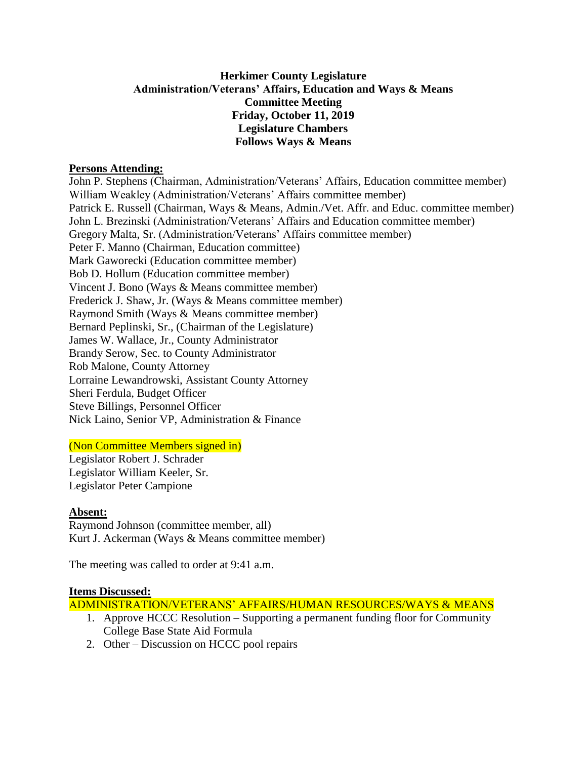## **Herkimer County Legislature Administration/Veterans' Affairs, Education and Ways & Means Committee Meeting Friday, October 11, 2019 Legislature Chambers Follows Ways & Means**

### **Persons Attending:**

John P. Stephens (Chairman, Administration/Veterans' Affairs, Education committee member) William Weakley (Administration/Veterans' Affairs committee member) Patrick E. Russell (Chairman, Ways & Means, Admin./Vet. Affr. and Educ. committee member) John L. Brezinski (Administration/Veterans' Affairs and Education committee member) Gregory Malta, Sr. (Administration/Veterans' Affairs committee member) Peter F. Manno (Chairman, Education committee) Mark Gaworecki (Education committee member) Bob D. Hollum (Education committee member) Vincent J. Bono (Ways & Means committee member) Frederick J. Shaw, Jr. (Ways & Means committee member) Raymond Smith (Ways & Means committee member) Bernard Peplinski, Sr., (Chairman of the Legislature) James W. Wallace, Jr., County Administrator Brandy Serow, Sec. to County Administrator Rob Malone, County Attorney Lorraine Lewandrowski, Assistant County Attorney Sheri Ferdula, Budget Officer Steve Billings, Personnel Officer Nick Laino, Senior VP, Administration & Finance

# (Non Committee Members signed in)

Legislator Robert J. Schrader Legislator William Keeler, Sr. Legislator Peter Campione

#### **Absent:**

Raymond Johnson (committee member, all) Kurt J. Ackerman (Ways & Means committee member)

The meeting was called to order at 9:41 a.m.

#### **Items Discussed:**

ADMINISTRATION/VETERANS' AFFAIRS/HUMAN RESOURCES/WAYS & MEANS

- 1. Approve HCCC Resolution Supporting a permanent funding floor for Community College Base State Aid Formula
- 2. Other Discussion on HCCC pool repairs